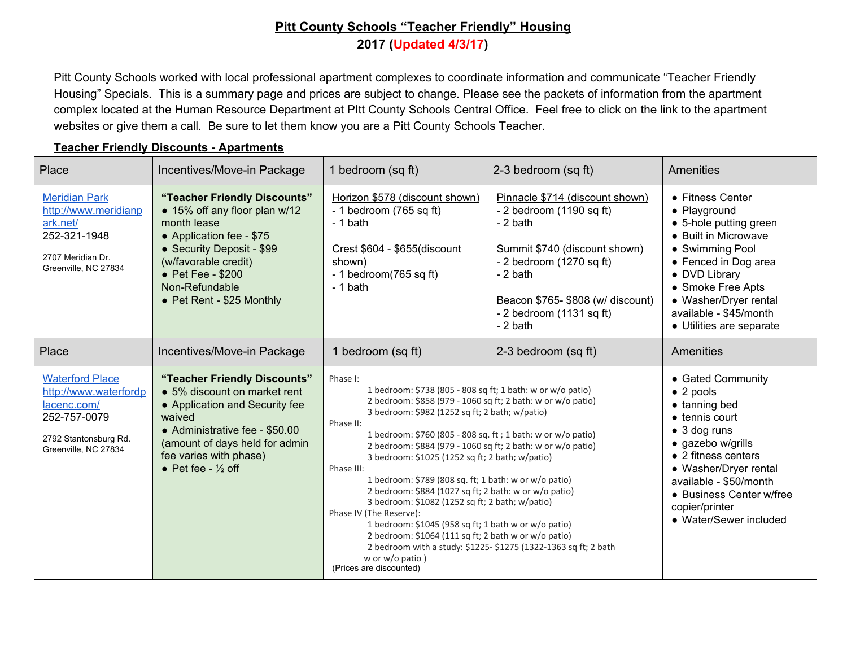Pitt County Schools worked with local professional apartment complexes to coordinate information and communicate "Teacher Friendly Housing" Specials. This is a summary page and prices are subject to change. Please see the packets of information from the apartment complex located at the Human Resource Department at PItt County Schools Central Office. Feel free to click on the link to the apartment websites or give them a call. Be sure to let them know you are a Pitt County Schools Teacher.

### **Teacher Friendly Discounts - Apartments**

| Place                                                                                                                           | Incentives/Move-in Package                                                                                                                                                                                                              | 1 bedroom (sq ft)                                                                                                                                                                                                                                                                                                                                                                                                                                                                                                                                                                                                                                                                                                                                                                                                                     | 2-3 bedroom (sq ft)                                                                                                                                                                                                                | Amenities                                                                                                                                                                                                                                                                        |
|---------------------------------------------------------------------------------------------------------------------------------|-----------------------------------------------------------------------------------------------------------------------------------------------------------------------------------------------------------------------------------------|---------------------------------------------------------------------------------------------------------------------------------------------------------------------------------------------------------------------------------------------------------------------------------------------------------------------------------------------------------------------------------------------------------------------------------------------------------------------------------------------------------------------------------------------------------------------------------------------------------------------------------------------------------------------------------------------------------------------------------------------------------------------------------------------------------------------------------------|------------------------------------------------------------------------------------------------------------------------------------------------------------------------------------------------------------------------------------|----------------------------------------------------------------------------------------------------------------------------------------------------------------------------------------------------------------------------------------------------------------------------------|
| <b>Meridian Park</b><br>http://www.meridianp<br>ark.net/<br>252-321-1948<br>2707 Meridian Dr.<br>Greenville, NC 27834           | "Teacher Friendly Discounts"<br>• 15% off any floor plan w/12<br>month lease<br>• Application fee - \$75<br>• Security Deposit - \$99<br>(w/favorable credit)<br>• Pet Fee - \$200<br>Non-Refundable<br>• Pet Rent - \$25 Monthly       | Horizon \$578 (discount shown)<br>- 1 bedroom $(765 \text{ sq ft})$<br>$-1$ bath<br>Crest \$604 - \$655(discount<br>shown)<br>- 1 bedroom $(765 \text{ sq ft})$<br>$-1$ bath                                                                                                                                                                                                                                                                                                                                                                                                                                                                                                                                                                                                                                                          | Pinnacle \$714 (discount shown)<br>$-2$ bedroom (1190 sq ft)<br>$-2$ bath<br>Summit \$740 (discount shown)<br>$-2$ bedroom (1270 sq ft)<br>$-2$ bath<br>Beacon \$765-\$808 (w/ discount)<br>$-2$ bedroom (1131 sq ft)<br>$-2$ bath | • Fitness Center<br>• Playground<br>• 5-hole putting green<br>• Built in Microwave<br>• Swimming Pool<br>• Fenced in Dog area<br>• DVD Library<br>• Smoke Free Apts<br>• Washer/Dryer rental<br>available - \$45/month<br>• Utilities are separate                               |
| Place                                                                                                                           | Incentives/Move-in Package                                                                                                                                                                                                              | 1 bedroom (sq ft)                                                                                                                                                                                                                                                                                                                                                                                                                                                                                                                                                                                                                                                                                                                                                                                                                     | 2-3 bedroom (sq ft)                                                                                                                                                                                                                | Amenities                                                                                                                                                                                                                                                                        |
| <b>Waterford Place</b><br>http://www.waterfordp<br>lacenc.com/<br>252-757-0079<br>2792 Stantonsburg Rd.<br>Greenville, NC 27834 | "Teacher Friendly Discounts"<br>• 5% discount on market rent<br>• Application and Security fee<br>waived<br>• Administrative fee - \$50.00<br>(amount of days held for admin<br>fee varies with phase)<br>• Pet fee - $\frac{1}{2}$ off | Phase I:<br>1 bedroom: \$738 (805 - 808 sq ft; 1 bath: w or w/o patio)<br>2 bedroom: \$858 (979 - 1060 sq ft; 2 bath: w or w/o patio)<br>3 bedroom: \$982 (1252 sq ft; 2 bath; w/patio)<br>Phase II:<br>1 bedroom: \$760 (805 - 808 sq. ft ; 1 bath: w or w/o patio)<br>2 bedroom: \$884 (979 - 1060 sq ft; 2 bath: w or w/o patio)<br>3 bedroom: \$1025 (1252 sq ft; 2 bath; w/patio)<br>Phase III:<br>1 bedroom: \$789 (808 sq. ft; 1 bath: w or w/o patio)<br>2 bedroom: \$884 (1027 sq ft; 2 bath: w or w/o patio)<br>3 bedroom: \$1082 (1252 sq ft; 2 bath; w/patio)<br>Phase IV (The Reserve):<br>1 bedroom: \$1045 (958 sq ft; 1 bath w or w/o patio)<br>2 bedroom: \$1064 (111 sq ft; 2 bath w or w/o patio)<br>2 bedroom with a study: \$1225- \$1275 (1322-1363 sq ft; 2 bath<br>w or w/o patio)<br>(Prices are discounted) |                                                                                                                                                                                                                                    | • Gated Community<br>$\bullet$ 2 pools<br>• tanning bed<br>$\bullet$ tennis court<br>$\bullet$ 3 dog runs<br>• gazebo w/grills<br>• 2 fitness centers<br>• Washer/Dryer rental<br>available - \$50/month<br>• Business Center w/free<br>copier/printer<br>• Water/Sewer included |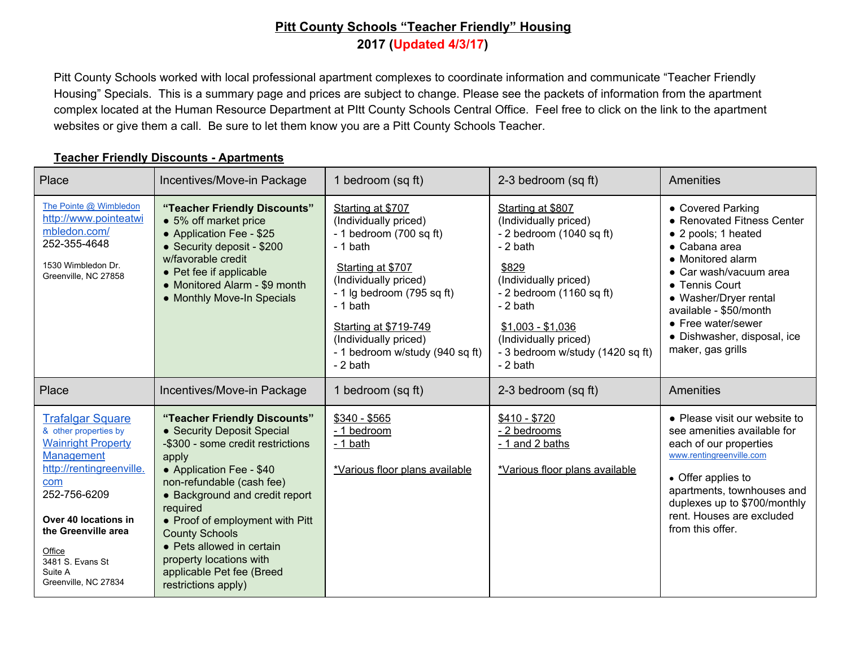Pitt County Schools worked with local professional apartment complexes to coordinate information and communicate "Teacher Friendly Housing" Specials. This is a summary page and prices are subject to change. Please see the packets of information from the apartment complex located at the Human Resource Department at PItt County Schools Central Office. Feel free to click on the link to the apartment websites or give them a call. Be sure to let them know you are a Pitt County Schools Teacher.

### **Teacher Friendly Discounts - Apartments**

| Place                                                                                                                                                                                                                                                          | Incentives/Move-in Package                                                                                                                                                                                                                                                                                                                                                              | 1 bedroom (sq ft)                                                                                                                                                                                                                                                                               | 2-3 bedroom (sq ft)                                                                                                                                                                                                                                                   | Amenities                                                                                                                                                                                                                                                                                     |
|----------------------------------------------------------------------------------------------------------------------------------------------------------------------------------------------------------------------------------------------------------------|-----------------------------------------------------------------------------------------------------------------------------------------------------------------------------------------------------------------------------------------------------------------------------------------------------------------------------------------------------------------------------------------|-------------------------------------------------------------------------------------------------------------------------------------------------------------------------------------------------------------------------------------------------------------------------------------------------|-----------------------------------------------------------------------------------------------------------------------------------------------------------------------------------------------------------------------------------------------------------------------|-----------------------------------------------------------------------------------------------------------------------------------------------------------------------------------------------------------------------------------------------------------------------------------------------|
| The Pointe @ Wimbledon<br>http://www.pointeatwi<br>mbledon.com/<br>252-355-4648<br>1530 Wimbledon Dr.<br>Greenville, NC 27858                                                                                                                                  | "Teacher Friendly Discounts"<br>• 5% off market price<br>• Application Fee - \$25<br>• Security deposit - \$200<br>w/favorable credit<br>• Pet fee if applicable<br>• Monitored Alarm - \$9 month<br>• Monthly Move-In Specials                                                                                                                                                         | Starting at \$707<br>(Individually priced)<br>- 1 bedroom $(700 \text{ sq ft})$<br>$-1$ bath<br>Starting at \$707<br>(Individually priced)<br>- 1 lg bedroom $(795 sq ft)$<br>- 1 bath<br><b>Starting at \$719-749</b><br>(Individually priced)<br>- 1 bedroom w/study (940 sq ft)<br>$-2$ bath | Starting at \$807<br>(Individually priced)<br>- 2 bedroom $(1040 \text{ sq ft})$<br>- 2 bath<br>\$829<br>(Individually priced)<br>$-2$ bedroom (1160 sq ft)<br>- 2 bath<br>$$1,003 - $1,036$<br>(Individually priced)<br>- 3 bedroom w/study (1420 sq ft)<br>- 2 bath | • Covered Parking<br>• Renovated Fitness Center<br>• 2 pools; 1 heated<br>$\bullet$ Cabana area<br>• Monitored alarm<br>• Car wash/vacuum area<br>• Tennis Court<br>• Washer/Dryer rental<br>available - \$50/month<br>• Free water/sewer<br>· Dishwasher, disposal, ice<br>maker, gas grills |
| Place                                                                                                                                                                                                                                                          | Incentives/Move-in Package                                                                                                                                                                                                                                                                                                                                                              | 1 bedroom (sq ft)                                                                                                                                                                                                                                                                               | 2-3 bedroom (sq ft)                                                                                                                                                                                                                                                   | Amenities                                                                                                                                                                                                                                                                                     |
| <b>Trafalgar Square</b><br>& other properties by<br><b>Wainright Property</b><br>Management<br>http://rentingreenville.<br>com<br>252-756-6209<br>Over 40 locations in<br>the Greenville area<br>Office<br>3481 S. Evans St<br>Suite A<br>Greenville, NC 27834 | "Teacher Friendly Discounts"<br>• Security Deposit Special<br>-\$300 - some credit restrictions<br>apply<br>• Application Fee - \$40<br>non-refundable (cash fee)<br>• Background and credit report<br>required<br>• Proof of employment with Pitt<br><b>County Schools</b><br>• Pets allowed in certain<br>property locations with<br>applicable Pet fee (Breed<br>restrictions apply) | $$340 - $565$<br>- 1 bedroom<br>- 1 bath<br>*Various floor plans available                                                                                                                                                                                                                      | $$410 - $720$<br>- 2 bedrooms<br>- 1 and 2 baths<br>*Various floor plans available                                                                                                                                                                                    | • Please visit our website to<br>see amenities available for<br>each of our properties<br>www.rentingreenville.com<br>• Offer applies to<br>apartments, townhouses and<br>duplexes up to \$700/monthly<br>rent. Houses are excluded<br>from this offer.                                       |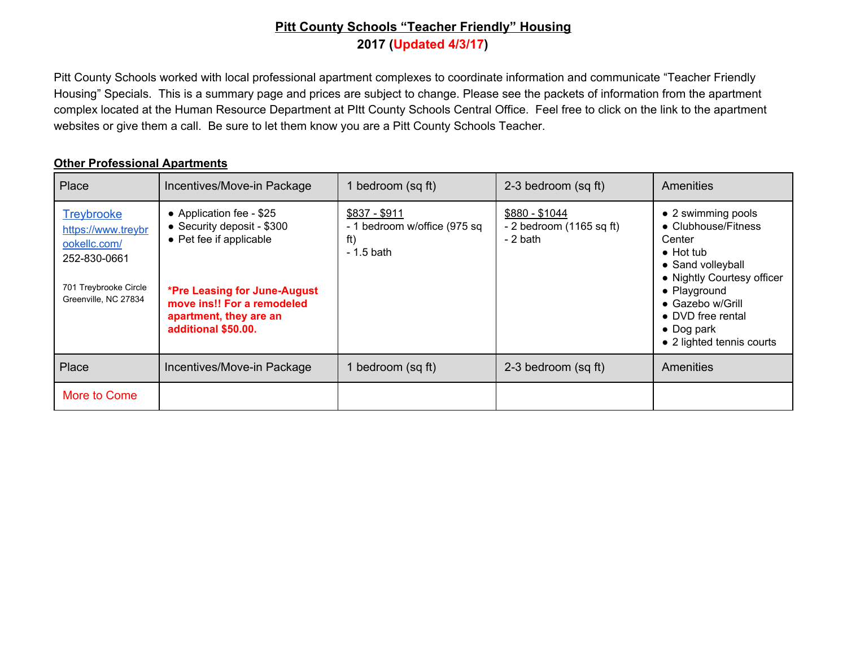Pitt County Schools worked with local professional apartment complexes to coordinate information and communicate "Teacher Friendly Housing" Specials. This is a summary page and prices are subject to change. Please see the packets of information from the apartment complex located at the Human Resource Department at PItt County Schools Central Office. Feel free to click on the link to the apartment websites or give them a call. Be sure to let them know you are a Pitt County Schools Teacher.

#### **Other Professional Apartments**

| Place                                                                                                                    | Incentives/Move-in Package                                                                                                                                                                       | 1 bedroom (sq ft)                                                   | 2-3 bedroom (sq ft)                                     | Amenities                                                                                                                                                                                                                               |
|--------------------------------------------------------------------------------------------------------------------------|--------------------------------------------------------------------------------------------------------------------------------------------------------------------------------------------------|---------------------------------------------------------------------|---------------------------------------------------------|-----------------------------------------------------------------------------------------------------------------------------------------------------------------------------------------------------------------------------------------|
| <b>Treybrooke</b><br>https://www.treybr<br>ookellc.com/<br>252-830-0661<br>701 Treybrooke Circle<br>Greenville, NC 27834 | • Application fee - \$25<br>• Security deposit - \$300<br>• Pet fee if applicable<br>*Pre Leasing for June-August<br>move ins!! For a remodeled<br>apartment, they are an<br>additional \$50.00. | $$837 - $911$<br>- 1 bedroom w/office (975 sq<br>ft)<br>$-1.5$ bath | \$880 - \$1044<br>$-2$ bedroom (1165 sq ft)<br>- 2 bath | • 2 swimming pools<br>• Clubhouse/Fitness<br>Center<br>$\bullet$ Hot tub<br>• Sand volleyball<br>• Nightly Courtesy officer<br>• Playground<br>• Gazebo w/Grill<br>• DVD free rental<br>$\bullet$ Dog park<br>• 2 lighted tennis courts |
| Place                                                                                                                    | Incentives/Move-in Package                                                                                                                                                                       | 1 bedroom (sq ft)                                                   | 2-3 bedroom (sq ft)                                     | Amenities                                                                                                                                                                                                                               |
| More to Come                                                                                                             |                                                                                                                                                                                                  |                                                                     |                                                         |                                                                                                                                                                                                                                         |